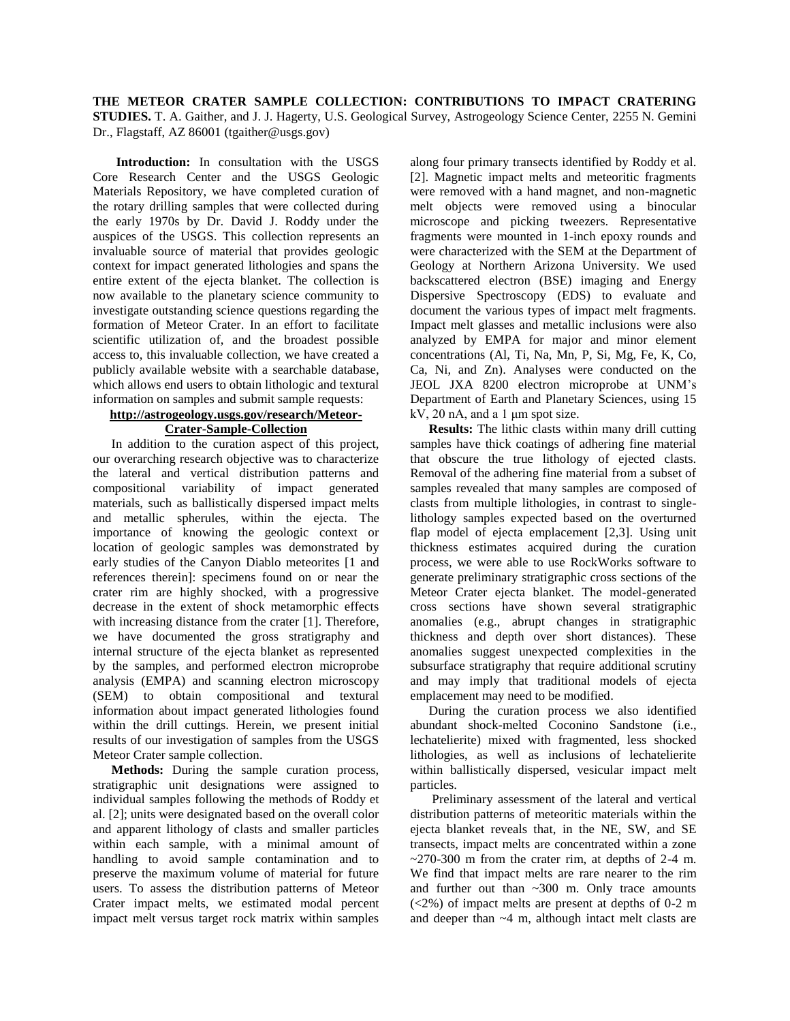**THE METEOR CRATER SAMPLE COLLECTION: CONTRIBUTIONS TO IMPACT CRATERING STUDIES.** T. A. Gaither, and J. J. Hagerty, U.S. Geological Survey, Astrogeology Science Center, 2255 N. Gemini Dr., Flagstaff, AZ 86001 (tgaither@usgs.gov)

**Introduction:** In consultation with the USGS Core Research Center and the USGS Geologic Materials Repository, we have completed curation of the rotary drilling samples that were collected during the early 1970s by Dr. David J. Roddy under the auspices of the USGS. This collection represents an invaluable source of material that provides geologic context for impact generated lithologies and spans the entire extent of the ejecta blanket. The collection is now available to the planetary science community to investigate outstanding science questions regarding the formation of Meteor Crater. In an effort to facilitate scientific utilization of, and the broadest possible access to, this invaluable collection, we have created a publicly available website with a searchable database, which allows end users to obtain lithologic and textural information on samples and submit sample requests:

## **[http://astrogeology.usgs.gov/research/Meteor-](http://astrogeology.usgs.gov/research/Meteor-Crater-Sample-Collection)[Crater-Sample-Collection](http://astrogeology.usgs.gov/research/Meteor-Crater-Sample-Collection)**

In addition to the curation aspect of this project, our overarching research objective was to characterize the lateral and vertical distribution patterns and compositional variability of impact generated materials, such as ballistically dispersed impact melts and metallic spherules, within the ejecta. The importance of knowing the geologic context or location of geologic samples was demonstrated by early studies of the Canyon Diablo meteorites [1 and references therein]: specimens found on or near the crater rim are highly shocked, with a progressive decrease in the extent of shock metamorphic effects with increasing distance from the crater [1]. Therefore, we have documented the gross stratigraphy and internal structure of the ejecta blanket as represented by the samples, and performed electron microprobe analysis (EMPA) and scanning electron microscopy (SEM) to obtain compositional and textural information about impact generated lithologies found within the drill cuttings. Herein, we present initial results of our investigation of samples from the USGS Meteor Crater sample collection.

**Methods:** During the sample curation process, stratigraphic unit designations were assigned to individual samples following the methods of Roddy et al. [2]; units were designated based on the overall color and apparent lithology of clasts and smaller particles within each sample, with a minimal amount of handling to avoid sample contamination and to preserve the maximum volume of material for future users. To assess the distribution patterns of Meteor Crater impact melts, we estimated modal percent impact melt versus target rock matrix within samples along four primary transects identified by Roddy et al. [2]. Magnetic impact melts and meteoritic fragments were removed with a hand magnet, and non-magnetic melt objects were removed using a binocular microscope and picking tweezers. Representative fragments were mounted in 1-inch epoxy rounds and were characterized with the SEM at the Department of Geology at Northern Arizona University. We used backscattered electron (BSE) imaging and Energy Dispersive Spectroscopy (EDS) to evaluate and document the various types of impact melt fragments. Impact melt glasses and metallic inclusions were also analyzed by EMPA for major and minor element concentrations (Al, Ti, Na, Mn, P, Si, Mg, Fe, K, Co, Ca, Ni, and Zn). Analyses were conducted on the JEOL JXA 8200 electron microprobe at UNM's Department of Earth and Planetary Sciences, using 15  $kV$ , 20 nA, and a 1  $\mu$ m spot size.

**Results:** The lithic clasts within many drill cutting samples have thick coatings of adhering fine material that obscure the true lithology of ejected clasts. Removal of the adhering fine material from a subset of samples revealed that many samples are composed of clasts from multiple lithologies, in contrast to singlelithology samples expected based on the overturned flap model of ejecta emplacement [2,3]. Using unit thickness estimates acquired during the curation process, we were able to use RockWorks software to generate preliminary stratigraphic cross sections of the Meteor Crater ejecta blanket. The model-generated cross sections have shown several stratigraphic anomalies (e.g., abrupt changes in stratigraphic thickness and depth over short distances). These anomalies suggest unexpected complexities in the subsurface stratigraphy that require additional scrutiny and may imply that traditional models of ejecta emplacement may need to be modified.

During the curation process we also identified abundant shock-melted Coconino Sandstone (i.e., lechatelierite) mixed with fragmented, less shocked lithologies, as well as inclusions of lechatelierite within ballistically dispersed, vesicular impact melt particles.

Preliminary assessment of the lateral and vertical distribution patterns of meteoritic materials within the ejecta blanket reveals that, in the NE, SW, and SE transects, impact melts are concentrated within a zone  $\approx$  270-300 m from the crater rim, at depths of 2-4 m. We find that impact melts are rare nearer to the rim and further out than  $\sim 300$  m. Only trace amounts (<2%) of impact melts are present at depths of 0-2 m and deeper than ~4 m, although intact melt clasts are